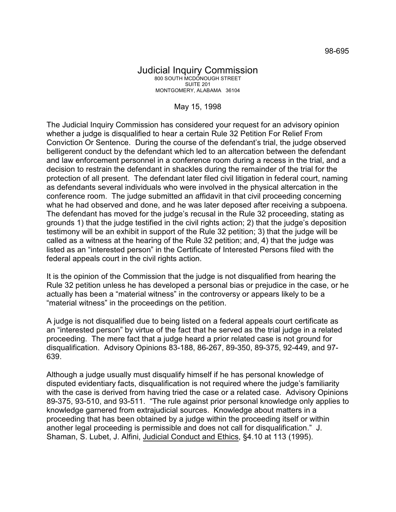## Judicial Inquiry Commission 800 SOUTH MCDONOUGH STREET SUITE 201 MONTGOMERY, ALABAMA 36104

## May 15, 1998

The Judicial Inquiry Commission has considered your request for an advisory opinion whether a judge is disqualified to hear a certain Rule 32 Petition For Relief From Conviction Or Sentence. During the course of the defendant's trial, the judge observed belligerent conduct by the defendant which led to an altercation between the defendant and law enforcement personnel in a conference room during a recess in the trial, and a decision to restrain the defendant in shackles during the remainder of the trial for the protection of all present. The defendant later filed civil litigation in federal court, naming as defendants several individuals who were involved in the physical altercation in the conference room. The judge submitted an affidavit in that civil proceeding concerning what he had observed and done, and he was later deposed after receiving a subpoena. The defendant has moved for the judge's recusal in the Rule 32 proceeding, stating as grounds 1) that the judge testified in the civil rights action; 2) that the judge's deposition testimony will be an exhibit in support of the Rule 32 petition; 3) that the judge will be called as a witness at the hearing of the Rule 32 petition; and, 4) that the judge was listed as an "interested person" in the Certificate of Interested Persons filed with the federal appeals court in the civil rights action.

It is the opinion of the Commission that the judge is not disqualified from hearing the Rule 32 petition unless he has developed a personal bias or prejudice in the case, or he actually has been a "material witness" in the controversy or appears likely to be a "material witness" in the proceedings on the petition.

A judge is not disqualified due to being listed on a federal appeals court certificate as an "interested person" by virtue of the fact that he served as the trial judge in a related proceeding. The mere fact that a judge heard a prior related case is not ground for disqualification. Advisory Opinions 83-188, 86-267, 89-350, 89-375, 92-449, and 97- 639.

Although a judge usually must disqualify himself if he has personal knowledge of disputed evidentiary facts, disqualification is not required where the judge's familiarity with the case is derived from having tried the case or a related case. Advisory Opinions 89-375, 93-510, and 93-511. "The rule against prior personal knowledge only applies to knowledge garnered from extrajudicial sources. Knowledge about matters in a proceeding that has been obtained by a judge within the proceeding itself or within another legal proceeding is permissible and does not call for disqualification." J. Shaman, S. Lubet, J. Alfini, Judicial Conduct and Ethics, §4.10 at 113 (1995).